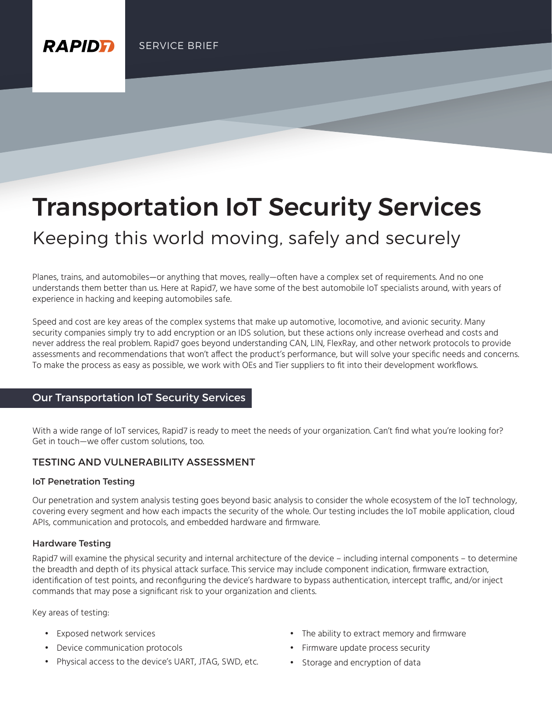# Transportation IoT Security Services

# Keeping this world moving, safely and securely

Planes, trains, and automobiles—or anything that moves, really—often have a complex set of requirements. And no one understands them better than us. Here at Rapid7, we have some of the best automobile IoT specialists around, with years of experience in hacking and keeping automobiles safe.

Speed and cost are key areas of the complex systems that make up automotive, locomotive, and avionic security. Many security companies simply try to add encryption or an IDS solution, but these actions only increase overhead and costs and never address the real problem. Rapid7 goes beyond understanding CAN, LIN, FlexRay, and other network protocols to provide assessments and recommendations that won't affect the product's performance, but will solve your specific needs and concerns. To make the process as easy as possible, we work with OEs and Tier suppliers to fit into their development workflows.

# Our Transportation IoT Security Services

With a wide range of IoT services, Rapid7 is ready to meet the needs of your organization. Can't find what you're looking for? Get in touch—we offer custom solutions, too.

#### TESTING AND VULNERABILITY ASSESSMENT

#### IoT Penetration Testing

**RAPIDE** 

Our penetration and system analysis testing goes beyond basic analysis to consider the whole ecosystem of the IoT technology, covering every segment and how each impacts the security of the whole. Our testing includes the IoT mobile application, cloud APIs, communication and protocols, and embedded hardware and firmware.

#### Hardware Testing

Rapid7 will examine the physical security and internal architecture of the device – including internal components – to determine the breadth and depth of its physical attack surface. This service may include component indication, firmware extraction, identification of test points, and reconfiguring the device's hardware to bypass authentication, intercept traffic, and/or inject commands that may pose a significant risk to your organization and clients.

Key areas of testing:

- Exposed network services
- Device communication protocols
- Physical access to the device's UART, JTAG, SWD, etc.
- The ability to extract memory and firmware
- Firmware update process security
- Storage and encryption of data